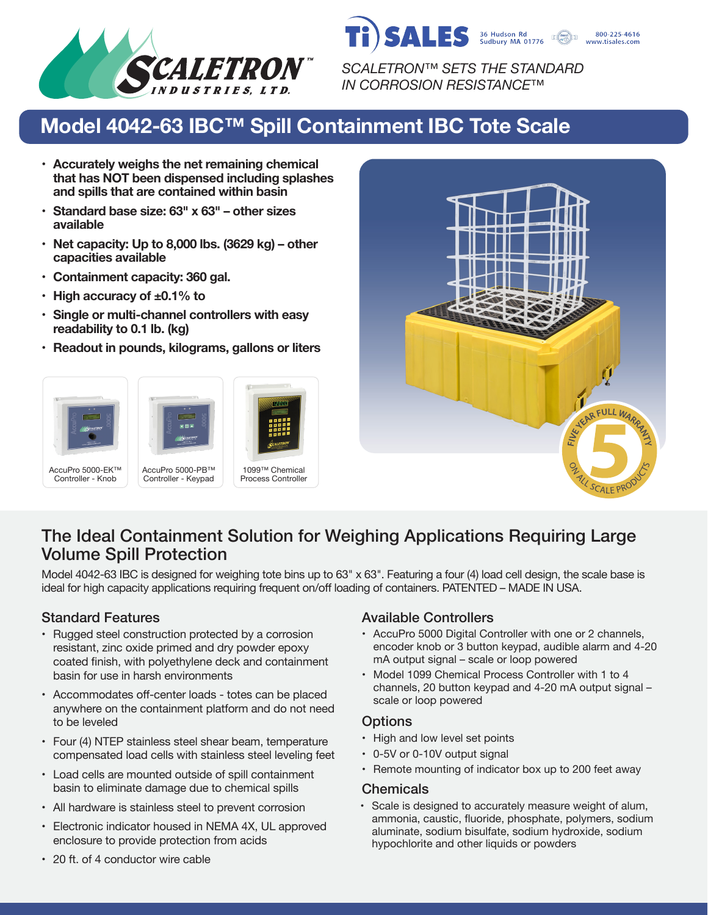

*SCALETRON™ SETS THE STANDARD IN CORROSION RESISTANCE™*

36 Hudson Rd<br>Sudbury MA 01776

800-225-4616 www.tisales.com

SALES

# **Model 4042-63 IBC™ Spill Containment IBC Tote Scale**

- **• Accurately weighs the net remaining chemical that has NOT been dispensed including splashes and spills that are contained within basin**
- **• Standard base size: 63" x 63" other sizes available**
- **• Net capacity: Up to 8,000 lbs. (3629 kg) other capacities available**
- **• Containment capacity: 360 gal.**
- **• High accuracy of ±0.1% to**
- **• Single or multi-channel controllers with easy readability to 0.1 lb. (kg)**
- **• Readout in pounds, kilograms, gallons or liters**





## The Ideal Containment Solution for Weighing Applications Requiring Large Volume Spill Protection

Model 4042-63 IBC is designed for weighing tote bins up to 63" x 63". Featuring a four (4) load cell design, the scale base is ideal for high capacity applications requiring frequent on/off loading of containers. PATENTED – MADE IN USA.

- Rugged steel construction protected by a corrosion resistant, zinc oxide primed and dry powder epoxy coated finish, with polyethylene deck and containment basin for use in harsh environments
- Accommodates off-center loads totes can be placed anywhere on the containment platform and do not need to be leveled
- Four (4) NTEP stainless steel shear beam, temperature compensated load cells with stainless steel leveling feet
- Load cells are mounted outside of spill containment basin to eliminate damage due to chemical spills
- All hardware is stainless steel to prevent corrosion
- Electronic indicator housed in NEMA 4X, UL approved enclosure to provide protection from acids

#### Standard Features **Available Controllers** Available Controllers

- AccuPro 5000 Digital Controller with one or 2 channels, encoder knob or 3 button keypad, audible alarm and 4-20 mA output signal – scale or loop powered
- Model 1099 Chemical Process Controller with 1 to 4 channels, 20 button keypad and 4-20 mA output signal – scale or loop powered

#### **Options**

- High and low level set points
- 0-5V or 0-10V output signal
- Remote mounting of indicator box up to 200 feet away

#### **Chemicals**

• Scale is designed to accurately measure weight of alum, ammonia, caustic, fluoride, phosphate, polymers, sodium aluminate, sodium bisulfate, sodium hydroxide, sodium hypochlorite and other liquids or powders

• 20 ft. of 4 conductor wire cable